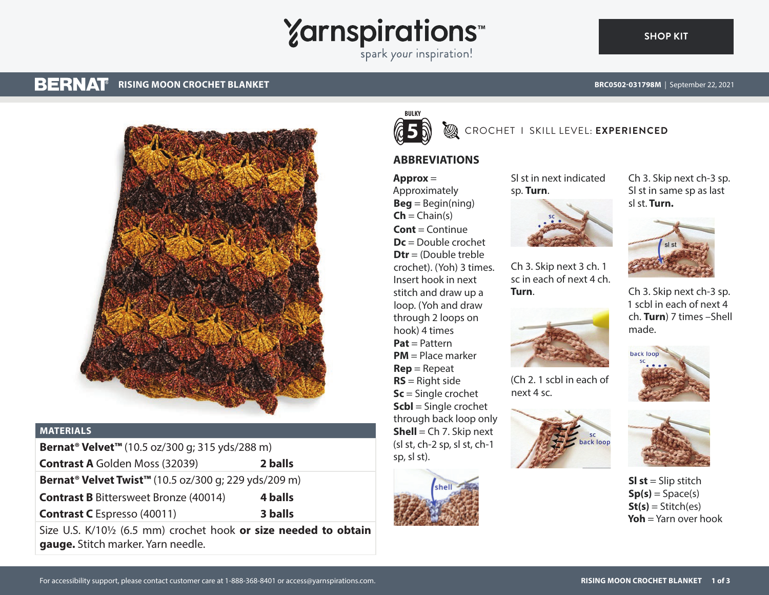# Yarnspirations<sup>\*\*</sup>

#### **BERNAT RISING MOON CROCHET BLANKET**

**[SHOP KIT](https://www.yarnspirations.com/BRC0502-031798M.html#utm_source=pdf-yarnspirations&utm_medium=referral)**



#### **MATERIALS**

| Bernat <sup>®</sup> Velvet <sup>™</sup> (10.5 oz/300 g; 315 yds/288 m)       |         |
|------------------------------------------------------------------------------|---------|
| <b>Contrast A Golden Moss (32039)</b>                                        | 2 balls |
| Bernat <sup>®</sup> Velvet Twist <sup>™</sup> (10.5 oz/300 g; 229 yds/209 m) |         |
| <b>Contrast B Bittersweet Bronze (40014)</b>                                 | 4 balls |
| <b>Contrast C</b> Espresso (40011)                                           | 3 balls |
|                                                                              |         |

Size U.S. K/10½ (6.5 mm) crochet hook **or size needed to obtain gauge.** Stitch marker. Yarn needle.



## **B** CROCHET I SKILL LEVEL: EXPERIENCED

#### **ABBREVIATIONS**

**Approx** = Approximately  $Beq = Beqin(ning)$  $\mathsf{Ch} = \mathsf{Chain}(s)$ **Cont** = Continue **Dc** = Double crochet **Dtr** = (Double treble crochet). (Yoh) 3 times. Insert hook in next stitch and draw up a loop. (Yoh and draw through 2 loops on hook) 4 times **Pat** = Pattern **PM** = Place marker **Rep** = Repeat **RS** = Right side **Sc** = Single crochet **Scbl** = Single crochet through back loop only **Shell** = Ch 7. Skip next (sl st, ch-2 sp, sl st, ch-1 sp, sl st).



Sl st in next indicated sp. **Turn**.



Ch 3. Skip next 3 ch. 1 sc in each of next 4 ch. **Turn**.



(Ch 2. 1 scbl in each of next 4 sc.





**Sl st** = Slip stitch  $Sp(s) = Space(s)$  $St(s) = Stitch(es)$ **Yoh** = Yarn over hook



Ch 3. Skip next ch-3 sp. 1 scbl in each of next 4 ch. **Turn**) 7 times –Shell made.



back loo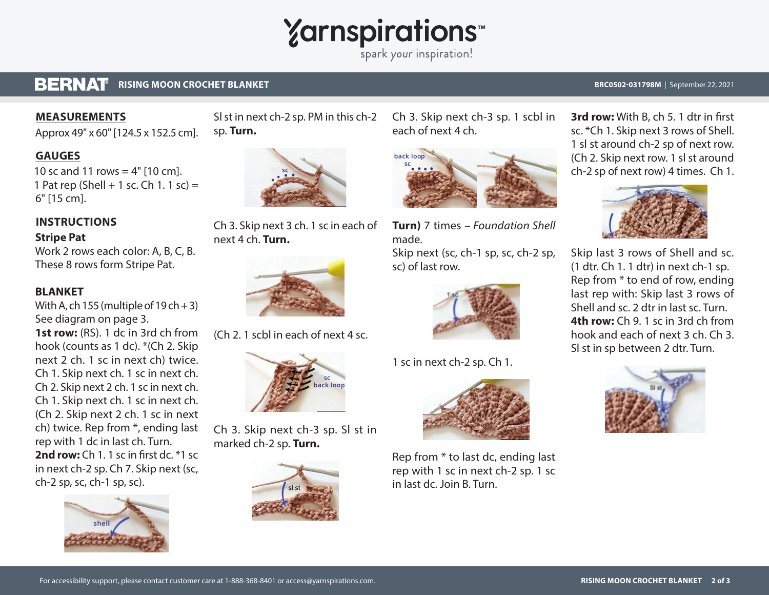## **Yarnspirations**

spark your inspiration!

#### **BERNAT RISING MOON CROCHET BLANKET BRC0502-031798M** | September 22, 2021

#### **MEASUREMENTS**

Approx 49" x 60" [124.5 x 152.5 cm].

#### **GAUGES**

10 sc and 11 rows =  $4"$  [10 cm]. 1 Pat rep (Shell + 1 sc. Ch 1. 1 sc) = 6" [15 cm].

### **INSTRUCTIONS**

#### **Stripe Pat**

Work 2 rows each color: A, B, C, B. These 8 rows form Stripe Pat.

#### **BLANKET**

With A, ch 155 (multiple of  $19 \text{ ch} + 3$ ) See diagram on page 3.

**1st row:** (RS). 1 dc in 3rd ch from hook (counts as 1 dc). \*(Ch 2. Skip next 2 ch. 1 sc in next ch) twice. Ch 1. Skip next ch. 1 sc in next ch. Ch 2. Skip next 2 ch. 1 sc in next ch. Ch 1. Skip next ch. 1 sc in next ch. (Ch 2. Skip next 2 ch. 1 sc in next ch) twice. Rep from \*, ending last rep with 1 dc in last ch. Turn. **2nd row:** Ch 1. 1 sc in first dc. \*1 sc. in next ch-2 sp. Ch 7. Skip next (sc, ch-2 sp, sc, ch-1 sp, sc).



Sl st in next ch-2 sp. PM in this ch-2 sp. **Turn.**



Ch 3. Skip next 3 ch. 1 sc in each of next 4 ch. **Turn.** 



(Ch 2. 1 scbl in each of next 4 sc.



Ch 3. Skip next ch-3 sp. Sl st in marked ch-2 sp. **Turn.**



Ch 3. Skip next ch-3 sp. 1 scbl in each of next 4 ch.



**Turn)** 7 times *– Foundation Shell*  made.

Skip next (sc, ch-1 sp, sc, ch-2 sp, sc) of last row.



1 sc in next ch-2 sp. Ch 1.



Rep from \* to last dc, ending last rep with 1 sc in next ch-2 sp. 1 sc in last dc. Join B. Turn.

**3rd row:** With B, ch 5. 1 dtr in first sc. \*Ch 1. Skip next 3 rows of Shell. 1 sl st around ch-2 sp of next row. (Ch 2. Skip next row. 1 sl st around ch-2 sp of next row) 4 times. Ch 1.



Skip last 3 rows of Shell and sc. (1 dtr. Ch 1. 1 dtr) in next ch-1 sp. Rep from \* to end of row, ending last rep with: Skip last 3 rows of Shell and sc. 2 dtr in last sc. Turn. **4th row:** Ch 9. 1 sc in 3rd ch from hook and each of next 3 ch. Ch 3. Sl st in sp between 2 dtr. Turn.